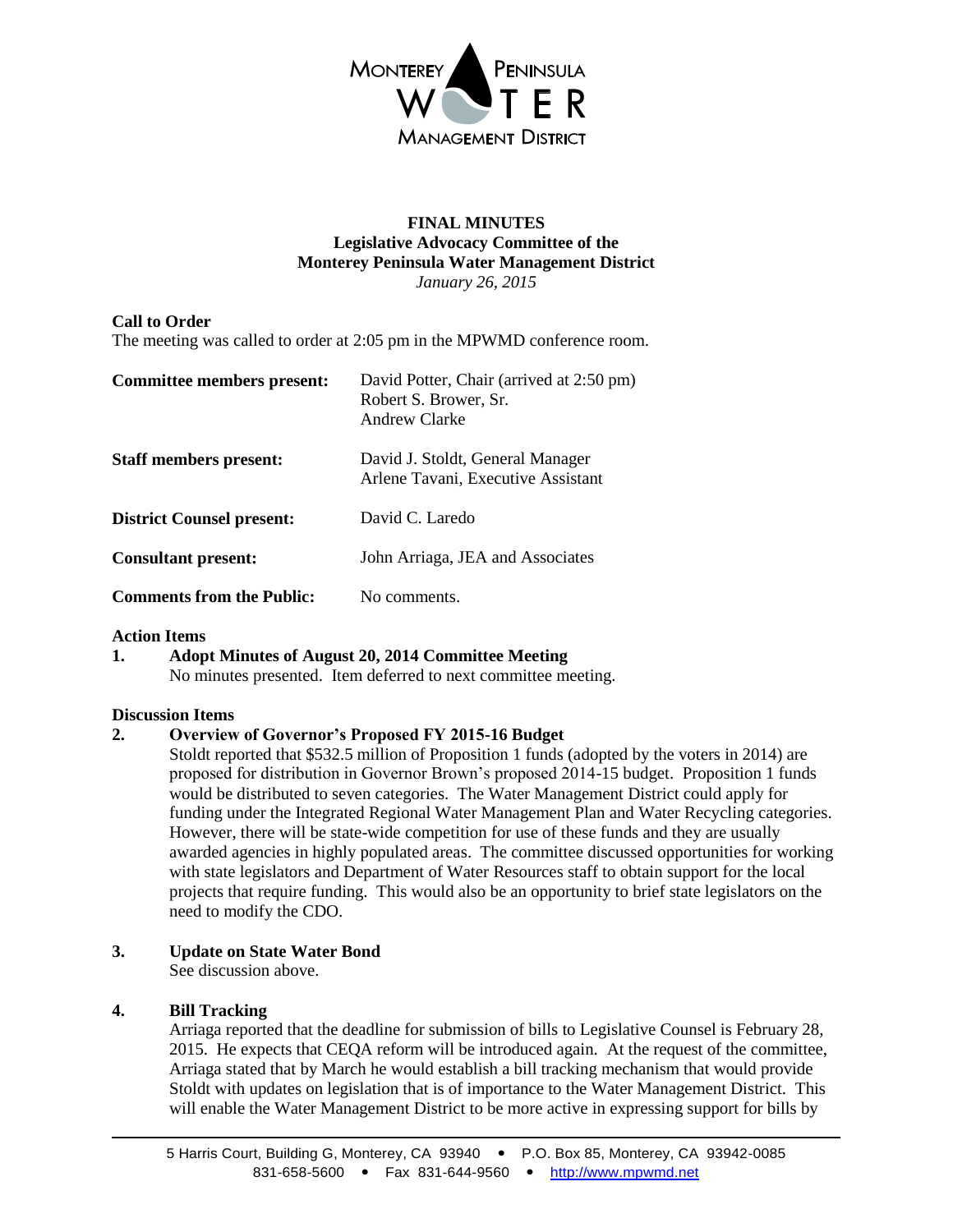

## **FINAL MINUTES Legislative Advocacy Committee of the Monterey Peninsula Water Management District** *January 26, 2015*

# **Call to Order**

The meeting was called to order at 2:05 pm in the MPWMD conference room.

| Committee members present:       | David Potter, Chair (arrived at 2:50 pm)<br>Robert S. Brower, Sr.<br>Andrew Clarke |
|----------------------------------|------------------------------------------------------------------------------------|
| <b>Staff members present:</b>    | David J. Stoldt, General Manager<br>Arlene Tavani, Executive Assistant             |
| <b>District Counsel present:</b> | David C. Laredo                                                                    |
| <b>Consultant present:</b>       | John Arriaga, JEA and Associates                                                   |
| <b>Comments from the Public:</b> | No comments.                                                                       |

### **Action Items**

**1. Adopt Minutes of August 20, 2014 Committee Meeting** No minutes presented. Item deferred to next committee meeting.

### **Discussion Items**

### **2. Overview of Governor's Proposed FY 2015-16 Budget**

Stoldt reported that \$532.5 million of Proposition 1 funds (adopted by the voters in 2014) are proposed for distribution in Governor Brown's proposed 2014-15 budget. Proposition 1 funds would be distributed to seven categories. The Water Management District could apply for funding under the Integrated Regional Water Management Plan and Water Recycling categories. However, there will be state-wide competition for use of these funds and they are usually awarded agencies in highly populated areas. The committee discussed opportunities for working with state legislators and Department of Water Resources staff to obtain support for the local projects that require funding. This would also be an opportunity to brief state legislators on the need to modify the CDO.

# **3. Update on State Water Bond**

See discussion above.

# **4. Bill Tracking**

Arriaga reported that the deadline for submission of bills to Legislative Counsel is February 28, 2015. He expects that CEQA reform will be introduced again. At the request of the committee, Arriaga stated that by March he would establish a bill tracking mechanism that would provide Stoldt with updates on legislation that is of importance to the Water Management District. This will enable the Water Management District to be more active in expressing support for bills by